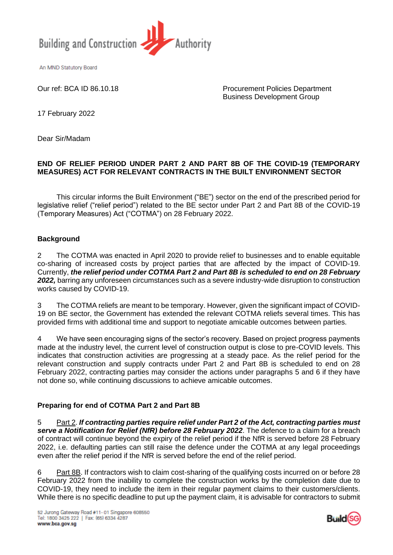

An MND Statutory Board

Our ref: BCA ID 86.10.18 Procurement Policies Department Business Development Group

17 February 2022

Dear Sir/Madam

## **END OF RELIEF PERIOD UNDER PART 2 AND PART 8B OF THE COVID-19 (TEMPORARY MEASURES) ACT FOR RELEVANT CONTRACTS IN THE BUILT ENVIRONMENT SECTOR**

This circular informs the Built Environment ("BE") sector on the end of the prescribed period for legislative relief ("relief period") related to the BE sector under Part 2 and Part 8B of the COVID-19 (Temporary Measures) Act ("COTMA") on 28 February 2022.

# **Background**

2 The COTMA was enacted in April 2020 to provide relief to businesses and to enable equitable co-sharing of increased costs by project parties that are affected by the impact of COVID-19. Currently, *the relief period under COTMA Part 2 and Part 8B is scheduled to end on 28 February 2022,* barring any unforeseen circumstances such as a severe industry-wide disruption to construction works caused by COVID-19.

3 The COTMA reliefs are meant to be temporary. However, given the significant impact of COVID-19 on BE sector, the Government has extended the relevant COTMA reliefs several times. This has provided firms with additional time and support to negotiate amicable outcomes between parties.

4 We have seen encouraging signs of the sector's recovery. Based on project progress payments made at the industry level, the current level of construction output is close to pre-COVID levels. This indicates that construction activities are progressing at a steady pace. As the relief period for the relevant construction and supply contracts under Part 2 and Part 8B is scheduled to end on 28 February 2022, contracting parties may consider the actions under paragraphs 5 and 6 if they have not done so, while continuing discussions to achieve amicable outcomes.

# **Preparing for end of COTMA Part 2 and Part 8B**

5 Part 2. *If contracting parties require relief under Part 2 of the Act, contracting parties must serve a Notification for Relief (NfR) before 28 February 2022*. The defence to a claim for a breach of contract will continue beyond the expiry of the relief period if the NfR is served before 28 February 2022, i.e. defaulting parties can still raise the defence under the COTMA at any legal proceedings even after the relief period if the NfR is served before the end of the relief period.

6 Part 8B. If contractors wish to claim cost-sharing of the qualifying costs incurred on or before 28 February 2022 from the inability to complete the construction works by the completion date due to COVID-19, they need to include the item in their regular payment claims to their customers/clients. While there is no specific deadline to put up the payment claim, it is advisable for contractors to submit